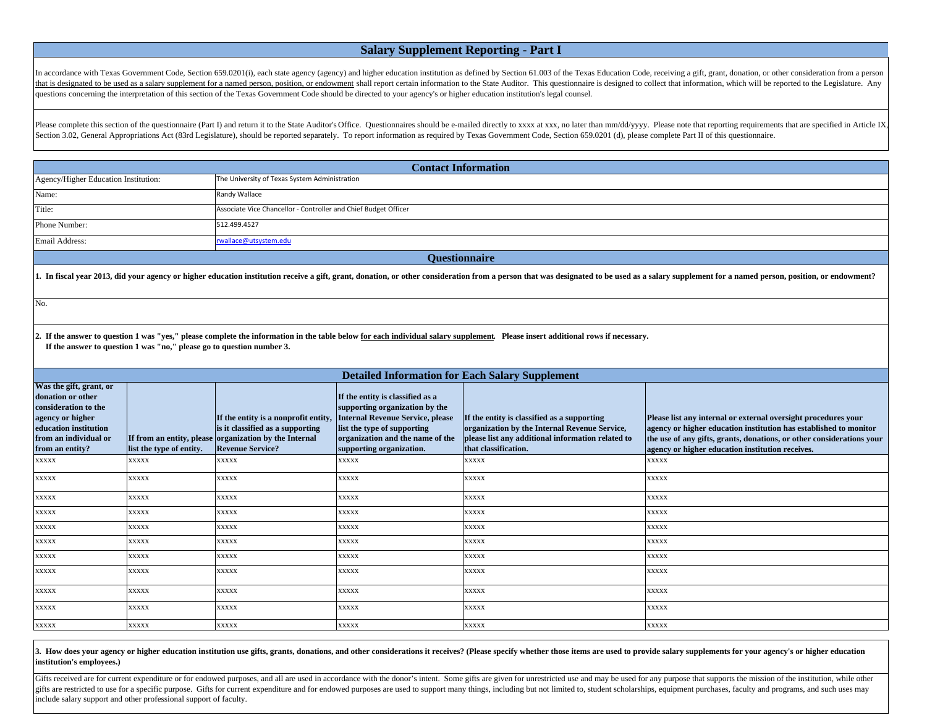## **Salary Supplement Reporting - Part I**

In accordance with Texas Government Code, Section 659.0201(i), each state agency (agency) and higher education institution as defined by Section 61.003 of the Texas Education Code, receiving a gift, grant, donation, or oth that is designated to be used as a salary supplement for a named person, position, or endowment shall report certain information to the State Auditor. This questionnaire is designed to collect that information, which will questions concerning the interpretation of this section of the Texas Government Code should be directed to your agency's or higher education institution's legal counsel.

Please complete this section of the questionnaire (Part I) and return it to the State Auditor's Office. Questionnaires should be e-mailed directly to xxxx at xxx, no later than mm/dd/yyyy. Please note that reporting requir Section 3.02, General Appropriations Act (83rd Legislature), should be reported separately. To report information as required by Texas Government Code, Section 659.0201 (d), please complete Part II of this questionnaire.

| <b>Contact Information</b>              |                                                                 |  |  |
|-----------------------------------------|-----------------------------------------------------------------|--|--|
| Agency/Higher Education Institution:    | The University of Texas System Administration                   |  |  |
| Name:                                   | Randy Wallace                                                   |  |  |
| Title:                                  | Associate Vice Chancellor - Controller and Chief Budget Officer |  |  |
| Phone Number:                           | 512.499.4527                                                    |  |  |
| Email Address:<br>rwallace@utsystem.edu |                                                                 |  |  |
| <b>Ouestionnaire</b>                    |                                                                 |  |  |

1. In fiscal year 2013, did your agency or higher education institution receive a gift, grant, donation, or other consideration from a person that was designated to be used as a salary supplement for a named person, positi

No.

**2. If the answer to question 1 was "yes," please complete the information in the table below for each individual salary supplement. Please insert additional rows if necessary. If the answer to question 1 was "no," please go to question number 3.**

| <b>Detailed Information for Each Salary Supplement</b>                                                                                                        |                          |                                                                                                                                                               |                                                                                                                                                                                                              |                                                                                                                                                                           |                                                                                                                                                                                                                                                                  |
|---------------------------------------------------------------------------------------------------------------------------------------------------------------|--------------------------|---------------------------------------------------------------------------------------------------------------------------------------------------------------|--------------------------------------------------------------------------------------------------------------------------------------------------------------------------------------------------------------|---------------------------------------------------------------------------------------------------------------------------------------------------------------------------|------------------------------------------------------------------------------------------------------------------------------------------------------------------------------------------------------------------------------------------------------------------|
| Was the gift, grant, or<br>donation or other<br>consideration to the<br>agency or higher<br>education institution<br>from an individual or<br>from an entity? | list the type of entity. | If the entity is a nonprofit entity,<br>is it classified as a supporting<br>If from an entity, please organization by the Internal<br><b>Revenue Service?</b> | If the entity is classified as a<br>supporting organization by the<br><b>Internal Revenue Service, please</b><br>list the type of supporting<br>organization and the name of the<br>supporting organization. | If the entity is classified as a supporting<br>organization by the Internal Revenue Service,<br>please list any additional information related to<br>that classification. | Please list any internal or external oversight procedures your<br>agency or higher education institution has established to monitor<br>the use of any gifts, grants, donations, or other considerations your<br>agency or higher education institution receives. |
| <b>XXXXX</b>                                                                                                                                                  | <b>XXXXX</b>             | <b>XXXXX</b>                                                                                                                                                  | <b>XXXXX</b>                                                                                                                                                                                                 | <b>XXXXX</b>                                                                                                                                                              | <b>XXXXX</b>                                                                                                                                                                                                                                                     |
| <b>XXXXX</b>                                                                                                                                                  | <b>XXXXX</b>             | <b>XXXXX</b>                                                                                                                                                  | <b>XXXXX</b>                                                                                                                                                                                                 | <b>XXXXX</b>                                                                                                                                                              | <b>XXXXX</b>                                                                                                                                                                                                                                                     |
| <b>XXXXX</b>                                                                                                                                                  | <b>XXXXX</b>             | <b>XXXXX</b>                                                                                                                                                  | <b>XXXXX</b>                                                                                                                                                                                                 | <b>XXXXX</b>                                                                                                                                                              | XXXXX                                                                                                                                                                                                                                                            |
| <b>XXXXX</b>                                                                                                                                                  | <b>XXXXX</b>             | <b>XXXXX</b>                                                                                                                                                  | <b>XXXXX</b>                                                                                                                                                                                                 | <b>XXXXX</b>                                                                                                                                                              | <b>XXXXX</b>                                                                                                                                                                                                                                                     |
| <b>XXXXX</b>                                                                                                                                                  | <b>XXXXX</b>             | <b>XXXXX</b>                                                                                                                                                  | <b>XXXXX</b>                                                                                                                                                                                                 | <b>XXXXX</b>                                                                                                                                                              | <b>XXXXX</b>                                                                                                                                                                                                                                                     |
| <b>XXXXX</b>                                                                                                                                                  | <b>XXXXX</b>             | <b>XXXXX</b>                                                                                                                                                  | <b>XXXXX</b>                                                                                                                                                                                                 | XXXXX                                                                                                                                                                     | <b>XXXXX</b>                                                                                                                                                                                                                                                     |
| <b>XXXXX</b>                                                                                                                                                  | <b>XXXXX</b>             | <b>XXXXX</b>                                                                                                                                                  | <b>XXXXX</b>                                                                                                                                                                                                 | <b>XXXXX</b>                                                                                                                                                              | <b>XXXXX</b>                                                                                                                                                                                                                                                     |
| <b>XXXXX</b>                                                                                                                                                  | <b>XXXXX</b>             | <b>XXXXX</b>                                                                                                                                                  | <b>XXXXX</b>                                                                                                                                                                                                 | <b>XXXXX</b>                                                                                                                                                              | <b>XXXXX</b>                                                                                                                                                                                                                                                     |
| <b>XXXXX</b>                                                                                                                                                  | <b>XXXXX</b>             | <b>XXXXX</b>                                                                                                                                                  | <b>XXXXX</b>                                                                                                                                                                                                 | <b>XXXXX</b>                                                                                                                                                              | <b>XXXXX</b>                                                                                                                                                                                                                                                     |
| <b>XXXXX</b>                                                                                                                                                  | <b>XXXXX</b>             | <b>XXXXX</b>                                                                                                                                                  | <b>XXXXX</b>                                                                                                                                                                                                 | <b>XXXXX</b>                                                                                                                                                              | <b>XXXXX</b>                                                                                                                                                                                                                                                     |
| <b>XXXXX</b>                                                                                                                                                  | <b>XXXXX</b>             | <b>XXXXX</b>                                                                                                                                                  | <b>XXXXX</b>                                                                                                                                                                                                 | <b>XXXXX</b>                                                                                                                                                              | <b>XXXXX</b>                                                                                                                                                                                                                                                     |

3. How does your agency or higher education institution use gifts, grants, donations, and other considerations it receives? (Please specify whether those items are used to provide salary supplements for your agency's or hi **institution's employees.)**

Gifts received are for current expenditure or for endowed purposes, and all are used in accordance with the donor's intent. Some gifts are given for unrestricted use and may be used for any purpose that supports the missio gifts are restricted to use for a specific purpose. Gifts for current expenditure and for endowed purposes are used to support many things, including but not limited to, student scholarships, equipment purchases, faculty a include salary support and other professional support of faculty.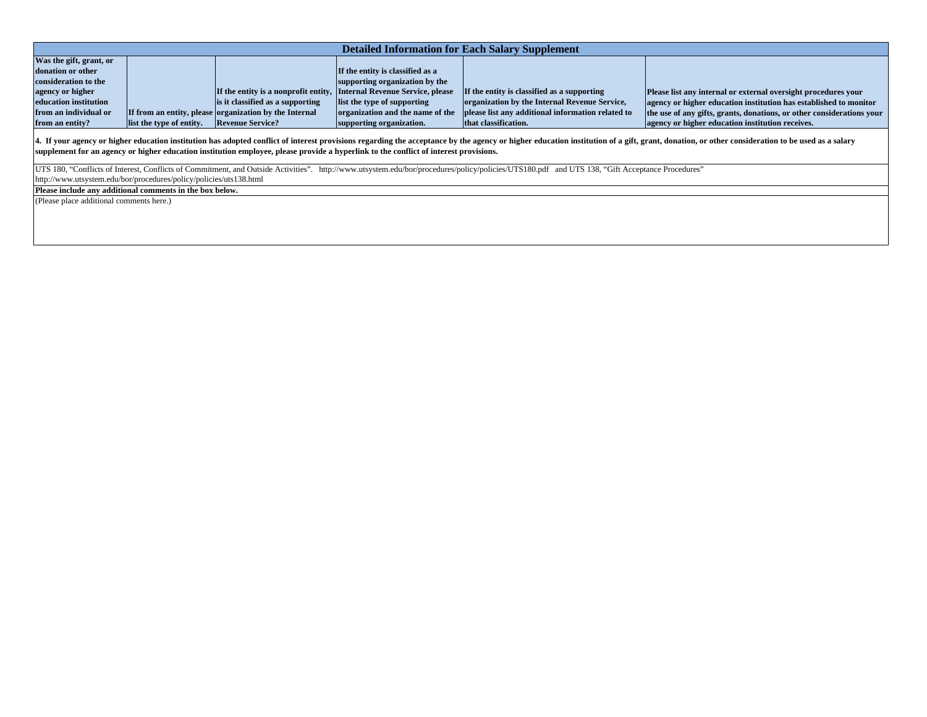| <b>Detailed Information for Each Salary Supplement</b> |                          |                                                                       |                                  |                                                   |                                                                       |
|--------------------------------------------------------|--------------------------|-----------------------------------------------------------------------|----------------------------------|---------------------------------------------------|-----------------------------------------------------------------------|
| Was the gift, grant, or                                |                          |                                                                       |                                  |                                                   |                                                                       |
| donation or other                                      |                          |                                                                       | If the entity is classified as a |                                                   |                                                                       |
| consideration to the                                   |                          |                                                                       | supporting organization by the   |                                                   |                                                                       |
| agency or higher                                       |                          | If the entity is a nonprofit entity, Internal Revenue Service, please |                                  | If the entity is classified as a supporting       | Please list any internal or external oversight procedures your        |
| education institution                                  |                          | is it classified as a supporting                                      | list the type of supporting      | organization by the Internal Revenue Service,     | agency or higher education institution has established to monitor     |
| from an individual or                                  |                          | If from an entity, please organization by the Internal                | organization and the name of the | please list any additional information related to | the use of any gifts, grants, donations, or other considerations your |
| from an entity?                                        | list the type of entity. | <b>Revenue Service?</b>                                               | supporting organization.         | that classification.                              | agency or higher education institution receives.                      |

4. If your agency or higher education institution has adopted conflict of interest provisions regarding the acceptance by the agency or higher education institution of a gift, grant, donation, or other consideration to be **supplement for an agency or higher education institution employee, please provide a hyperlink to the conflict of interest provisions.** 

UTS 180, "Conflicts of Interest, Conflicts of Commitment, and Outside Activities". http://www.utsystem.edu/bor/procedures/policy/policies/UTS180.pdf and UTS 138, "Gift Acceptance Procedures"

http://www.utsystem.edu/bor/procedures/policy/policies/uts138.html

(Please place additional comments here.) **Please include any additional comments in the box below.**